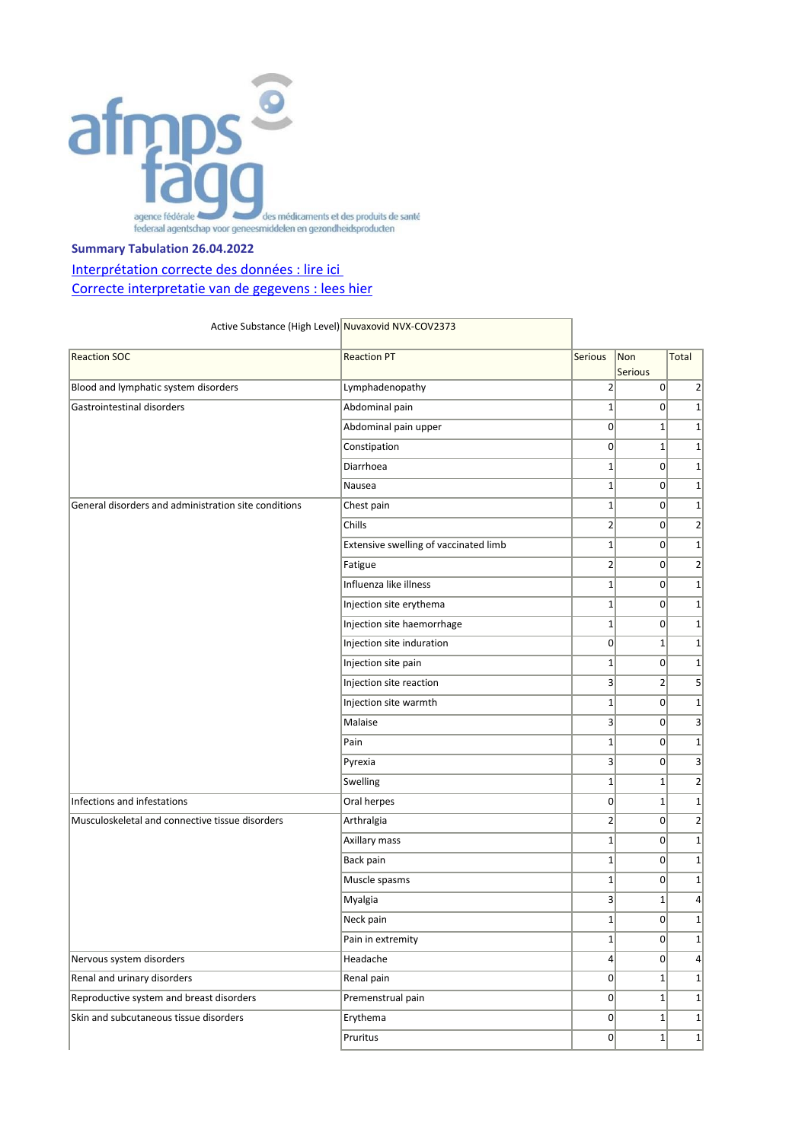

## **Summary Tabulation 26.04.2022**

## Interprétation correcte des données : lire ici [Correcte interpretatie van de gegevens : lees hier](https://www.fagg.be/nl/menselijk_gebruik/geneesmiddelen/geneesmiddelen/covid_19/vaccins/geneesmiddelenbewaking_voor_covid#correcte%20interpretatie)

| Active Substance (High Level) Nuvaxovid NVX-COV2373  |                                       |                 |                       |                         |
|------------------------------------------------------|---------------------------------------|-----------------|-----------------------|-------------------------|
| <b>Reaction SOC</b>                                  | <b>Reaction PT</b>                    | Serious         | Non<br><b>Serious</b> | Total                   |
| Blood and lymphatic system disorders                 | Lymphadenopathy                       | $\overline{2}$  | $\Omega$              | $\overline{2}$          |
| Gastrointestinal disorders                           | Abdominal pain                        | $1\vert$        | $\Omega$              | $\mathbf 1$             |
|                                                      | Abdominal pain upper                  | 0               | $\mathbf{1}$          | $\mathbf 1$             |
|                                                      | Constipation                          | $\overline{0}$  | $1\vert$              | $\mathbf 1$             |
|                                                      | Diarrhoea                             | $1\vert$        | $\overline{0}$        | $\mathbf 1$             |
|                                                      | Nausea                                | 1 <sup>1</sup>  | $\Omega$              | $\mathbf 1$             |
| General disorders and administration site conditions | Chest pain                            | $1\overline{ }$ | $\Omega$              | $\mathbf 1$             |
|                                                      | Chills                                | $\overline{2}$  | 0                     | $\overline{2}$          |
|                                                      | Extensive swelling of vaccinated limb | $1\vert$        | $\Omega$              | $\mathbf 1$             |
|                                                      | Fatigue                               | $\overline{2}$  | $\overline{0}$        | $\overline{\mathbf{c}}$ |
|                                                      | Influenza like illness                | $1\vert$        | $\Omega$              | $\mathbf 1$             |
|                                                      | Injection site erythema               | $1\vert$        | $\overline{0}$        | $\mathbf 1$             |
|                                                      | Injection site haemorrhage            | $1\vert$        | $\Omega$              | $\mathbf 1$             |
|                                                      | Injection site induration             | $\overline{0}$  | $1\vert$              | $\mathbf 1$             |
|                                                      | Injection site pain                   | $1\overline{ }$ | $\overline{0}$        | $\mathbf 1$             |
|                                                      | Injection site reaction               | 3 <sup>2</sup>  | $\overline{2}$        | 5                       |
|                                                      | Injection site warmth                 | $1\vert$        | $\overline{0}$        | $\mathbf 1$             |
|                                                      | Malaise                               | $\overline{3}$  | $\overline{0}$        | 3                       |
|                                                      | Pain                                  | $1\overline{ }$ | $\overline{0}$        | $\mathbf{1}$            |
|                                                      | Pyrexia                               | 3               | $\Omega$              | 3                       |
|                                                      | Swelling                              | $1\vert$        | $1\vert$              | $\overline{2}$          |
| Infections and infestations                          | Oral herpes                           | 0               | $1\vert$              | $\mathbf 1$             |
| Musculoskeletal and connective tissue disorders      | Arthralgia                            | $\overline{2}$  | $\overline{0}$        | $\overline{2}$          |
|                                                      | Axillary mass                         | $1\vert$        | $\overline{0}$        | $\mathbf 1$             |
|                                                      | Back pain                             | $1\vert$        | 0                     | $\mathbf 1$             |
|                                                      | Muscle spasms                         | $1\overline{ }$ | $\Omega$              | $\mathbf 1$             |
|                                                      | Myalgia                               | $\overline{3}$  | $\mathbf{1}$          | 4                       |
|                                                      | Neck pain                             | $1\vert$        | $\Omega$              | $1\vert$                |
|                                                      | Pain in extremity                     | $1\vert$        | 0                     | $\mathbf{1}$            |
| Nervous system disorders                             | Headache                              | 4 <sup>1</sup>  | 0                     | $\vert 4 \vert$         |
| Renal and urinary disorders                          | Renal pain                            | 0               | $1\vert$              | $\mathbf{1}$            |
| Reproductive system and breast disorders             | Premenstrual pain                     | 0               | $1\vert$              | $\mathbf{1}$            |
| Skin and subcutaneous tissue disorders               | Erythema                              | 0               | $1\vert$              | 1                       |
|                                                      | Pruritus                              | 0               | $1\vert$              | $1\vert$                |